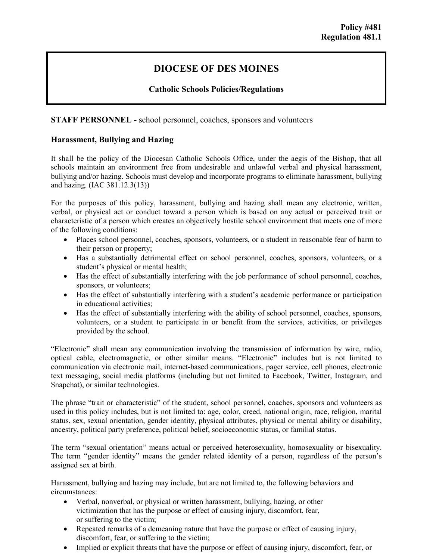# **DIOCESE OF DES MOINES**

# **Catholic Schools Policies/Regulations**

**STAFF PERSONNEL -** school personnel, coaches, sponsors and volunteers

# **Harassment, Bullying and Hazing**

It shall be the policy of the Diocesan Catholic Schools Office, under the aegis of the Bishop, that all schools maintain an environment free from undesirable and unlawful verbal and physical harassment, bullying and/or hazing. Schools must develop and incorporate programs to eliminate harassment, bullying and hazing. (IAC 381.12.3(13))

For the purposes of this policy, harassment, bullying and hazing shall mean any electronic, written, verbal, or physical act or conduct toward a person which is based on any actual or perceived trait or characteristic of a person which creates an objectively hostile school environment that meets one of more of the following conditions:

- Places school personnel, coaches, sponsors, volunteers, or a student in reasonable fear of harm to their person or property;
- Has a substantially detrimental effect on school personnel, coaches, sponsors, volunteers, or a student's physical or mental health;
- Has the effect of substantially interfering with the job performance of school personnel, coaches, sponsors, or volunteers;
- Has the effect of substantially interfering with a student's academic performance or participation in educational activities;
- Has the effect of substantially interfering with the ability of school personnel, coaches, sponsors, volunteers, or a student to participate in or benefit from the services, activities, or privileges provided by the school.

"Electronic" shall mean any communication involving the transmission of information by wire, radio, optical cable, electromagnetic, or other similar means. "Electronic" includes but is not limited to communication via electronic mail, internet-based communications, pager service, cell phones, electronic text messaging, social media platforms (including but not limited to Facebook, Twitter, Instagram, and Snapchat), or similar technologies.

The phrase "trait or characteristic" of the student, school personnel, coaches, sponsors and volunteers as used in this policy includes, but is not limited to: age, color, creed, national origin, race, religion, marital status, sex, sexual orientation, gender identity, physical attributes, physical or mental ability or disability, ancestry, political party preference, political belief, socioeconomic status, or familial status.

The term "sexual orientation" means actual or perceived heterosexuality, homosexuality or bisexuality. The term "gender identity" means the gender related identity of a person, regardless of the person's assigned sex at birth.

Harassment, bullying and hazing may include, but are not limited to, the following behaviors and circumstances:

- Verbal, nonverbal, or physical or written harassment, bullying, hazing, or other victimization that has the purpose or effect of causing injury, discomfort, fear, or suffering to the victim;
- Repeated remarks of a demeaning nature that have the purpose or effect of causing injury, discomfort, fear, or suffering to the victim;
- Implied or explicit threats that have the purpose or effect of causing injury, discomfort, fear, or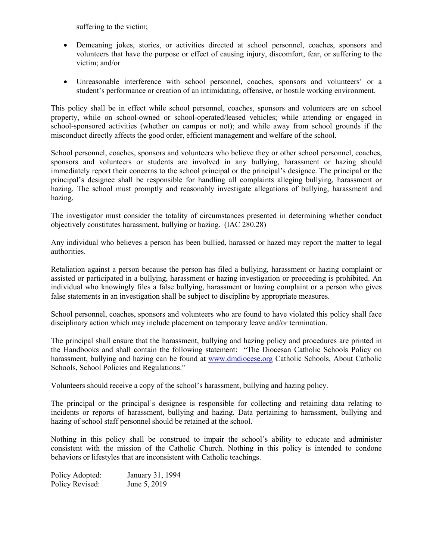suffering to the victim;

- Demeaning jokes, stories, or activities directed at school personnel, coaches, sponsors and volunteers that have the purpose or effect of causing injury, discomfort, fear, or suffering to the victim; and/or
- Unreasonable interference with school personnel, coaches, sponsors and volunteers' or a student's performance or creation of an intimidating, offensive, or hostile working environment.

This policy shall be in effect while school personnel, coaches, sponsors and volunteers are on school property, while on school-owned or school-operated/leased vehicles; while attending or engaged in school-sponsored activities (whether on campus or not); and while away from school grounds if the misconduct directly affects the good order, efficient management and welfare of the school.

School personnel, coaches, sponsors and volunteers who believe they or other school personnel, coaches, sponsors and volunteers or students are involved in any bullying, harassment or hazing should immediately report their concerns to the school principal or the principal's designee. The principal or the principal's designee shall be responsible for handling all complaints alleging bullying, harassment or hazing. The school must promptly and reasonably investigate allegations of bullying, harassment and hazing.

The investigator must consider the totality of circumstances presented in determining whether conduct objectively constitutes harassment, bullying or hazing. (IAC 280.28)

Any individual who believes a person has been bullied, harassed or hazed may report the matter to legal authorities.

Retaliation against a person because the person has filed a bullying, harassment or hazing complaint or assisted or participated in a bullying, harassment or hazing investigation or proceeding is prohibited. An individual who knowingly files a false bullying, harassment or hazing complaint or a person who gives false statements in an investigation shall be subject to discipline by appropriate measures.

School personnel, coaches, sponsors and volunteers who are found to have violated this policy shall face disciplinary action which may include placement on temporary leave and/or termination.

The principal shall ensure that the harassment, bullying and hazing policy and procedures are printed in the Handbooks and shall contain the following statement: "The Diocesan Catholic Schools Policy on harassment, bullying and hazing can be found at [www.dmdiocese.org](http://www.dmdiocese.org/) Catholic Schools, About Catholic Schools, School Policies and Regulations."

Volunteers should receive a copy of the school's harassment, bullying and hazing policy.

The principal or the principal's designee is responsible for collecting and retaining data relating to incidents or reports of harassment, bullying and hazing. Data pertaining to harassment, bullying and hazing of school staff personnel should be retained at the school.

Nothing in this policy shall be construed to impair the school's ability to educate and administer consistent with the mission of the Catholic Church. Nothing in this policy is intended to condone behaviors or lifestyles that are inconsistent with Catholic teachings.

Policy Adopted: January 31, 1994 Policy Revised: June 5, 2019